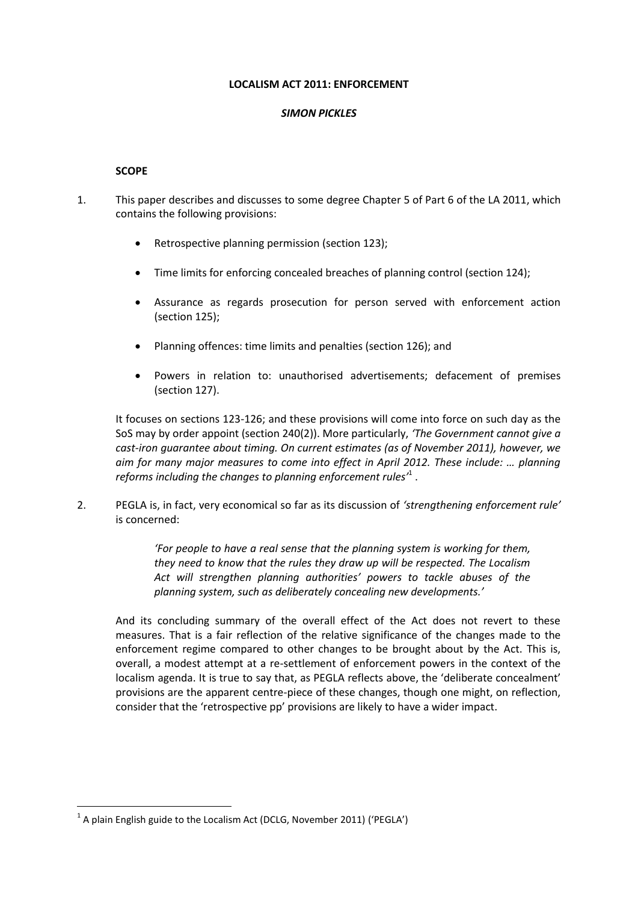#### **LOCALISM ACT 2011: ENFORCEMENT**

#### *SIMON PICKLES*

#### **SCOPE**

- 1. This paper describes and discusses to some degree Chapter 5 of Part 6 of the LA 2011, which contains the following provisions:
	- Retrospective planning permission (section 123);
	- Time limits for enforcing concealed breaches of planning control (section 124);
	- Assurance as regards prosecution for person served with enforcement action (section 125);
	- Planning offences: time limits and penalties (section 126); and
	- Powers in relation to: unauthorised advertisements; defacement of premises (section 127).

It focuses on sections 123-126; and these provisions will come into force on such day as the SoS may by order appoint (section 240(2)). More particularly, *'The Government cannot give a cast-iron guarantee about timing. On current estimates (as of November 2011), however, we aim for many major measures to come into effect in April 2012. These include: … planning reforms including the changes to planning enforcement rules'* 1 .

2. PEGLA is, in fact, very economical so far as its discussion of *'strengthening enforcement rule'* is concerned:

> *'For people to have a real sense that the planning system is working for them, they need to know that the rules they draw up will be respected. The Localism Act will strengthen planning authorities' powers to tackle abuses of the planning system, such as deliberately concealing new developments.'*

And its concluding summary of the overall effect of the Act does not revert to these measures. That is a fair reflection of the relative significance of the changes made to the enforcement regime compared to other changes to be brought about by the Act. This is, overall, a modest attempt at a re-settlement of enforcement powers in the context of the localism agenda. It is true to say that, as PEGLA reflects above, the 'deliberate concealment' provisions are the apparent centre-piece of these changes, though one might, on reflection, consider that the 'retrospective pp' provisions are likely to have a wider impact.

 $^1$  A plain English guide to the Localism Act (DCLG, November 2011) ('PEGLA')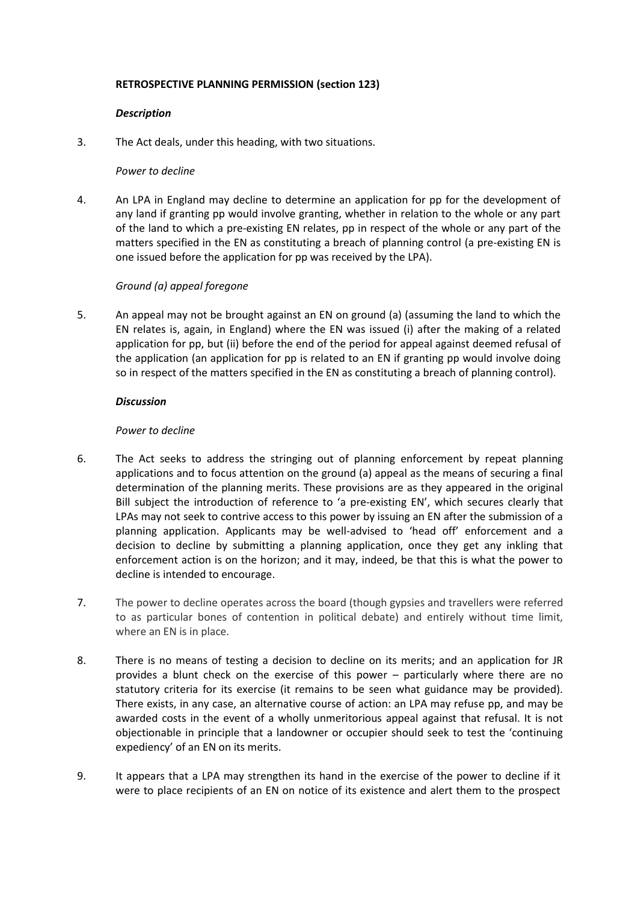## **RETROSPECTIVE PLANNING PERMISSION (section 123)**

## *Description*

3. The Act deals, under this heading, with two situations.

## *Power to decline*

4. An LPA in England may decline to determine an application for pp for the development of any land if granting pp would involve granting, whether in relation to the whole or any part of the land to which a pre-existing EN relates, pp in respect of the whole or any part of the matters specified in the EN as constituting a breach of planning control (a pre-existing EN is one issued before the application for pp was received by the LPA).

# *Ground (a) appeal foregone*

5. An appeal may not be brought against an EN on ground (a) (assuming the land to which the EN relates is, again, in England) where the EN was issued (i) after the making of a related application for pp, but (ii) before the end of the period for appeal against deemed refusal of the application (an application for pp is related to an EN if granting pp would involve doing so in respect of the matters specified in the EN as constituting a breach of planning control).

# *Discussion*

# *Power to decline*

- 6. The Act seeks to address the stringing out of planning enforcement by repeat planning applications and to focus attention on the ground (a) appeal as the means of securing a final determination of the planning merits. These provisions are as they appeared in the original Bill subject the introduction of reference to 'a pre-existing EN', which secures clearly that LPAs may not seek to contrive access to this power by issuing an EN after the submission of a planning application. Applicants may be well-advised to 'head off' enforcement and a decision to decline by submitting a planning application, once they get any inkling that enforcement action is on the horizon; and it may, indeed, be that this is what the power to decline is intended to encourage.
- 7. The power to decline operates across the board (though gypsies and travellers were referred to as particular bones of contention in political debate) and entirely without time limit, where an EN is in place.
- 8. There is no means of testing a decision to decline on its merits; and an application for JR provides a blunt check on the exercise of this power – particularly where there are no statutory criteria for its exercise (it remains to be seen what guidance may be provided). There exists, in any case, an alternative course of action: an LPA may refuse pp, and may be awarded costs in the event of a wholly unmeritorious appeal against that refusal. It is not objectionable in principle that a landowner or occupier should seek to test the 'continuing expediency' of an EN on its merits.
- 9. It appears that a LPA may strengthen its hand in the exercise of the power to decline if it were to place recipients of an EN on notice of its existence and alert them to the prospect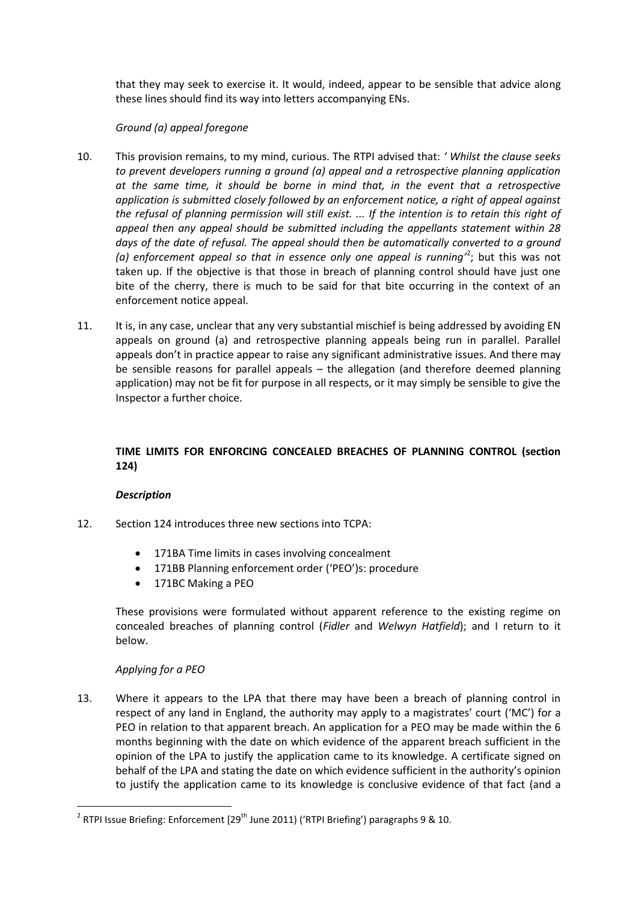that they may seek to exercise it. It would, indeed, appear to be sensible that advice along these lines should find its way into letters accompanying ENs.

# *Ground (a) appeal foregone*

- 10. This provision remains, to my mind, curious. The RTPI advised that: *' Whilst the clause seeks to prevent developers running a ground (a) appeal and a retrospective planning application at the same time, it should be borne in mind that, in the event that a retrospective application is submitted closely followed by an enforcement notice, a right of appeal against the refusal of planning permission will still exist. ... If the intention is to retain this right of appeal then any appeal should be submitted including the appellants statement within 28 days of the date of refusal. The appeal should then be automatically converted to a ground*  (a) enforcement appeal so that in essence only one appeal is running<sup>2</sup>; but this was not taken up. If the objective is that those in breach of planning control should have just one bite of the cherry, there is much to be said for that bite occurring in the context of an enforcement notice appeal.
- 11. It is, in any case, unclear that any very substantial mischief is being addressed by avoiding EN appeals on ground (a) and retrospective planning appeals being run in parallel. Parallel appeals don't in practice appear to raise any significant administrative issues. And there may be sensible reasons for parallel appeals – the allegation (and therefore deemed planning application) may not be fit for purpose in all respects, or it may simply be sensible to give the Inspector a further choice.

# **TIME LIMITS FOR ENFORCING CONCEALED BREACHES OF PLANNING CONTROL (section 124)**

## *Description*

- 12. Section 124 introduces three new sections into TCPA:
	- 171BA Time limits in cases involving concealment
	- 171BB Planning enforcement order ('PEO')s: procedure
	- 171BC Making a PEO

These provisions were formulated without apparent reference to the existing regime on concealed breaches of planning control (*Fidler* and *Welwyn Hatfield*); and I return to it below.

## *Applying for a PEO*

1

13. Where it appears to the LPA that there may have been a breach of planning control in respect of any land in England, the authority may apply to a magistrates' court ('MC') for a PEO in relation to that apparent breach. An application for a PEO may be made within the 6 months beginning with the date on which evidence of the apparent breach sufficient in the opinion of the LPA to justify the application came to its knowledge. A certificate signed on behalf of the LPA and stating the date on which evidence sufficient in the authority's opinion to justify the application came to its knowledge is conclusive evidence of that fact (and a

<sup>&</sup>lt;sup>2</sup> RTPI Issue Briefing: Enforcement [29<sup>th</sup> June 2011) ('RTPI Briefing') paragraphs 9 & 10.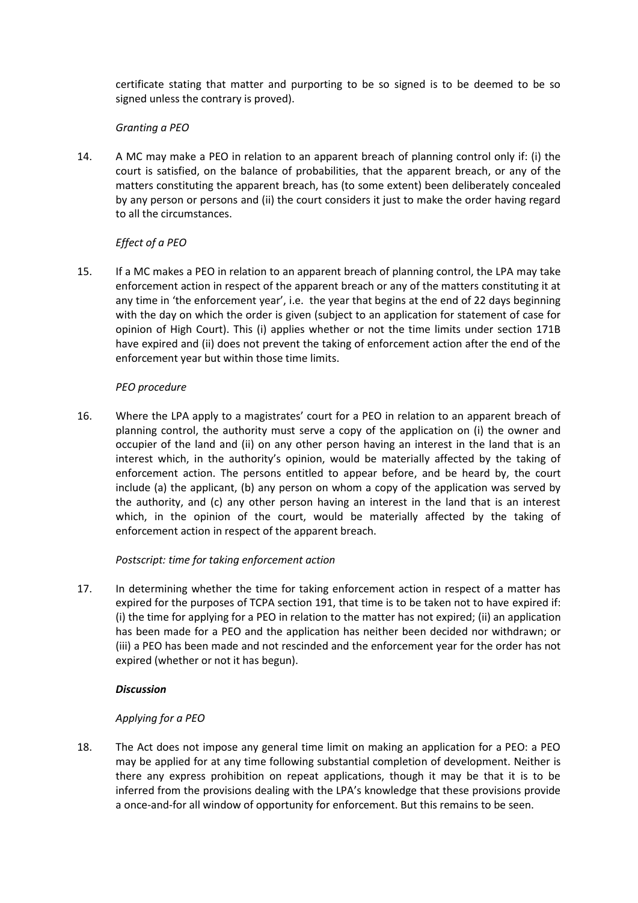certificate stating that matter and purporting to be so signed is to be deemed to be so signed unless the contrary is proved).

# *Granting a PEO*

14. A MC may make a PEO in relation to an apparent breach of planning control only if: (i) the court is satisfied, on the balance of probabilities, that the apparent breach, or any of the matters constituting the apparent breach, has (to some extent) been deliberately concealed by any person or persons and (ii) the court considers it just to make the order having regard to all the circumstances.

# *Effect of a PEO*

15. If a MC makes a PEO in relation to an apparent breach of planning control, the LPA may take enforcement action in respect of the apparent breach or any of the matters constituting it at any time in 'the enforcement year', i.e. the year that begins at the end of 22 days beginning with the day on which the order is given (subject to an application for statement of case for opinion of High Court). This (i) applies whether or not the time limits under section 171B have expired and (ii) does not prevent the taking of enforcement action after the end of the enforcement year but within those time limits.

# *PEO procedure*

16. Where the LPA apply to a magistrates' court for a PEO in relation to an apparent breach of planning control, the authority must serve a copy of the application on (i) the owner and occupier of the land and (ii) on any other person having an interest in the land that is an interest which, in the authority's opinion, would be materially affected by the taking of enforcement action. The persons entitled to appear before, and be heard by, the court include (a) the applicant, (b) any person on whom a copy of the application was served by the authority, and (c) any other person having an interest in the land that is an interest which, in the opinion of the court, would be materially affected by the taking of enforcement action in respect of the apparent breach.

# *Postscript: time for taking enforcement action*

17. In determining whether the time for taking enforcement action in respect of a matter has expired for the purposes of TCPA section 191, that time is to be taken not to have expired if: (i) the time for applying for a PEO in relation to the matter has not expired; (ii) an application has been made for a PEO and the application has neither been decided nor withdrawn; or (iii) a PEO has been made and not rescinded and the enforcement year for the order has not expired (whether or not it has begun).

## *Discussion*

## *Applying for a PEO*

18. The Act does not impose any general time limit on making an application for a PEO: a PEO may be applied for at any time following substantial completion of development. Neither is there any express prohibition on repeat applications, though it may be that it is to be inferred from the provisions dealing with the LPA's knowledge that these provisions provide a once-and-for all window of opportunity for enforcement. But this remains to be seen.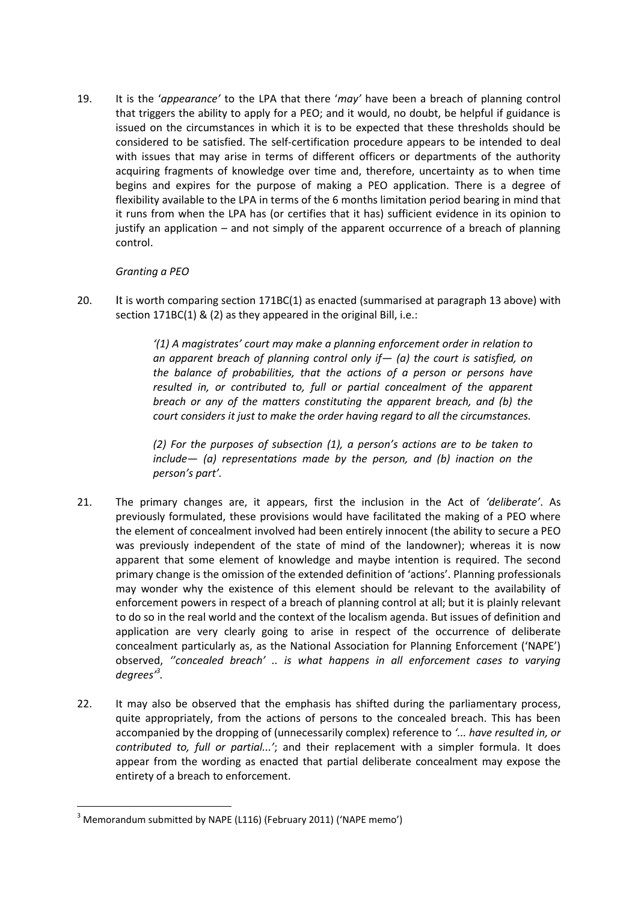19. It is the '*appearance'* to the LPA that there '*may'* have been a breach of planning control that triggers the ability to apply for a PEO; and it would, no doubt, be helpful if guidance is issued on the circumstances in which it is to be expected that these thresholds should be considered to be satisfied. The self-certification procedure appears to be intended to deal with issues that may arise in terms of different officers or departments of the authority acquiring fragments of knowledge over time and, therefore, uncertainty as to when time begins and expires for the purpose of making a PEO application. There is a degree of flexibility available to the LPA in terms of the 6 months limitation period bearing in mind that it runs from when the LPA has (or certifies that it has) sufficient evidence in its opinion to justify an application – and not simply of the apparent occurrence of a breach of planning control.

# *Granting a PEO*

20. It is worth comparing section 171BC(1) as enacted (summarised at paragraph 13 above) with section 171BC(1) & (2) as they appeared in the original Bill, i.e.:

> *'(1) A magistrates' court may make a planning enforcement order in relation to an apparent breach of planning control only if— (a) the court is satisfied, on the balance of probabilities, that the actions of a person or persons have* resulted in, or contributed to, full or partial concealment of the apparent *breach or any of the matters constituting the apparent breach, and (b) the court considers it just to make the order having regard to all the circumstances.*

> *(2) For the purposes of subsection (1), a person's actions are to be taken to include— (a) representations made by the person, and (b) inaction on the person's part'.*

- 21. The primary changes are, it appears, first the inclusion in the Act of *'deliberate'*. As previously formulated, these provisions would have facilitated the making of a PEO where the element of concealment involved had been entirely innocent (the ability to secure a PEO was previously independent of the state of mind of the landowner); whereas it is now apparent that some element of knowledge and maybe intention is required. The second primary change is the omission of the extended definition of 'actions'. Planning professionals may wonder why the existence of this element should be relevant to the availability of enforcement powers in respect of a breach of planning control at all; but it is plainly relevant to do so in the real world and the context of the localism agenda. But issues of definition and application are very clearly going to arise in respect of the occurrence of deliberate concealment particularly as, as the National Association for Planning Enforcement ('NAPE') observed, *''concealed breach' .. is what happens in all enforcement cases to varying degrees'<sup>3</sup> .*
- 22. It may also be observed that the emphasis has shifted during the parliamentary process, quite appropriately, from the actions of persons to the concealed breach. This has been accompanied by the dropping of (unnecessarily complex) reference to *'... have resulted in, or contributed to, full or partial...'*; and their replacement with a simpler formula. It does appear from the wording as enacted that partial deliberate concealment may expose the entirety of a breach to enforcement.

 $3$  Memorandum submitted by NAPE (L116) (February 2011) ('NAPE memo')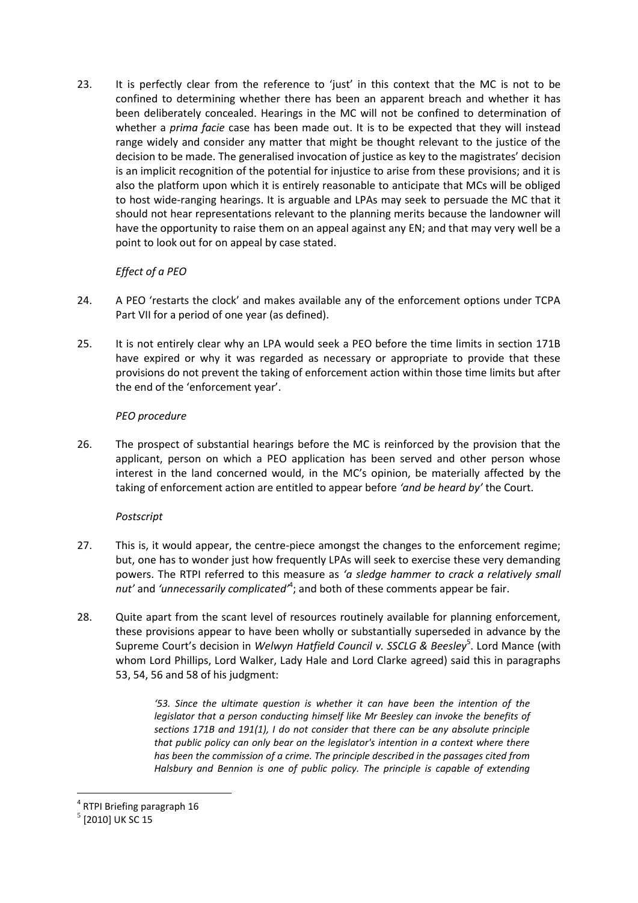23. It is perfectly clear from the reference to 'just' in this context that the MC is not to be confined to determining whether there has been an apparent breach and whether it has been deliberately concealed. Hearings in the MC will not be confined to determination of whether a *prima facie* case has been made out. It is to be expected that they will instead range widely and consider any matter that might be thought relevant to the justice of the decision to be made. The generalised invocation of justice as key to the magistrates' decision is an implicit recognition of the potential for injustice to arise from these provisions; and it is also the platform upon which it is entirely reasonable to anticipate that MCs will be obliged to host wide-ranging hearings. It is arguable and LPAs may seek to persuade the MC that it should not hear representations relevant to the planning merits because the landowner will have the opportunity to raise them on an appeal against any EN; and that may very well be a point to look out for on appeal by case stated.

# *Effect of a PEO*

- 24. A PEO 'restarts the clock' and makes available any of the enforcement options under TCPA Part VII for a period of one year (as defined).
- 25. It is not entirely clear why an LPA would seek a PEO before the time limits in section 171B have expired or why it was regarded as necessary or appropriate to provide that these provisions do not prevent the taking of enforcement action within those time limits but after the end of the 'enforcement year'.

# *PEO procedure*

26. The prospect of substantial hearings before the MC is reinforced by the provision that the applicant, person on which a PEO application has been served and other person whose interest in the land concerned would, in the MC's opinion, be materially affected by the taking of enforcement action are entitled to appear before *'and be heard by'* the Court.

# *Postscript*

- 27. This is, it would appear, the centre-piece amongst the changes to the enforcement regime; but, one has to wonder just how frequently LPAs will seek to exercise these very demanding powers. The RTPI referred to this measure as *'a sledge hammer to crack a relatively small*  nut' and '*unnecessarily complicated'*<sup>4</sup>; and both of these comments appear be fair.
- 28. Quite apart from the scant level of resources routinely available for planning enforcement, these provisions appear to have been wholly or substantially superseded in advance by the Supreme Court's decision in *Welwyn Hatfield Council v. SSCLG & Beesley*<sup>5</sup>. Lord Mance (with whom Lord Phillips, Lord Walker, Lady Hale and Lord Clarke agreed) said this in paragraphs 53, 54, 56 and 58 of his judgment:

*'53. Since the ultimate question is whether it can have been the intention of the legislator that a person conducting himself like Mr Beesley can invoke the benefits of sections 171B and 191(1), I do not consider that there can be any absolute principle that public policy can only bear on the legislator's intention in a context where there has been the commission of a crime. The principle described in the passages cited from Halsbury and Bennion is one of public policy. The principle is capable of extending* 

<u>.</u>

<sup>4</sup> RTPI Briefing paragraph 16

 $^5$  [2010] UK SC 15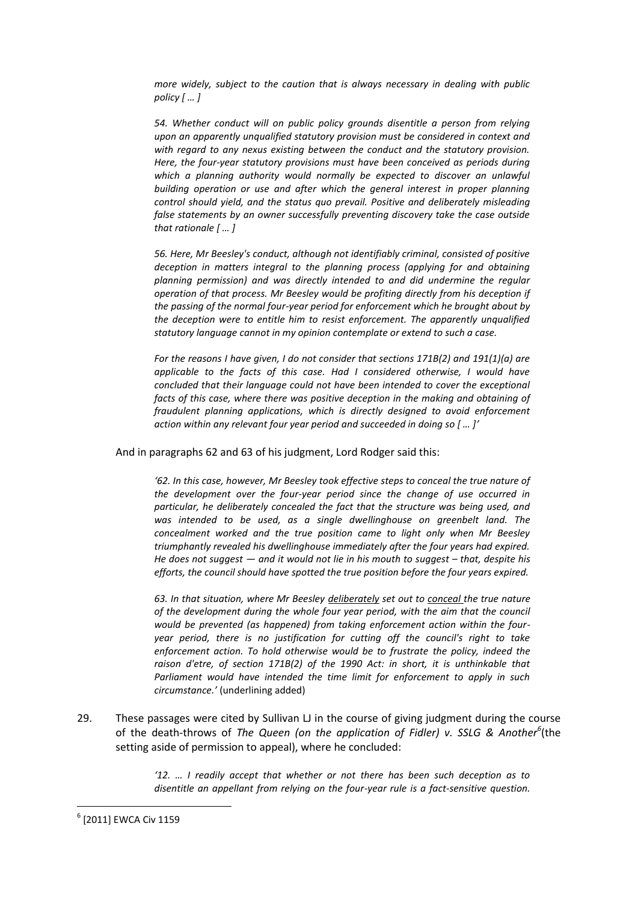*more widely, subject to the caution that is always necessary in dealing with public policy* [ ... ]

*54. Whether conduct will on public policy grounds disentitle a person from relying upon an apparently unqualified statutory provision must be considered in context and with regard to any nexus existing between the conduct and the statutory provision. Here, the four-year statutory provisions must have been conceived as periods during*  which a planning authority would normally be expected to discover an unlawful *building operation or use and after which the general interest in proper planning control should yield, and the status quo prevail. Positive and deliberately misleading false statements by an owner successfully preventing discovery take the case outside that rationale*  $[$  *...*  $]$ 

*56. Here, Mr Beesley's conduct, although not identifiably criminal, consisted of positive deception in matters integral to the planning process (applying for and obtaining planning permission) and was directly intended to and did undermine the regular operation of that process. Mr Beesley would be profiting directly from his deception if the passing of the normal four-year period for enforcement which he brought about by the deception were to entitle him to resist enforcement. The apparently unqualified statutory language cannot in my opinion contemplate or extend to such a case.*

*For the reasons I have given, I do not consider that sections 171B(2) and 191(1)(a) are applicable to the facts of this case. Had I considered otherwise, I would have concluded that their language could not have been intended to cover the exceptional facts of this case, where there was positive deception in the making and obtaining of fraudulent planning applications, which is directly designed to avoid enforcement action within any relevant four year period and succeeded in doing so [ ... ]'* 

And in paragraphs 62 and 63 of his judgment, Lord Rodger said this:

*'62. In this case, however, Mr Beesley took effective steps to conceal the true nature of the development over the four-year period since the change of use occurred in particular, he deliberately concealed the fact that the structure was being used, and*  was intended to be used, as a single dwellinghouse on greenbelt land. The *concealment worked and the true position came to light only when Mr Beesley triumphantly revealed his dwellinghouse immediately after the four years had expired. He does not suggest — and it would not lie in his mouth to suggest – that, despite his efforts, the council should have spotted the true position before the four years expired.*

*63. In that situation, where Mr Beesley deliberately set out to conceal the true nature of the development during the whole four year period, with the aim that the council would be prevented (as happened) from taking enforcement action within the fouryear period, there is no justification for cutting off the council's right to take enforcement action. To hold otherwise would be to frustrate the policy, indeed the raison d'etre, of section 171B(2) of the 1990 Act: in short, it is unthinkable that Parliament would have intended the time limit for enforcement to apply in such circumstance.'* (underlining added)

29. These passages were cited by Sullivan LJ in the course of giving judgment during the course of the death-throws of *The Queen (on the application of Fidler) v. SSLG & Another<sup>6</sup>* (the setting aside of permission to appeal), where he concluded:

> *'12. … I readily accept that whether or not there has been such deception as to disentitle an appellant from relying on the four-year rule is a fact-sensitive question.*

 $^6$  [2011] EWCA Civ 1159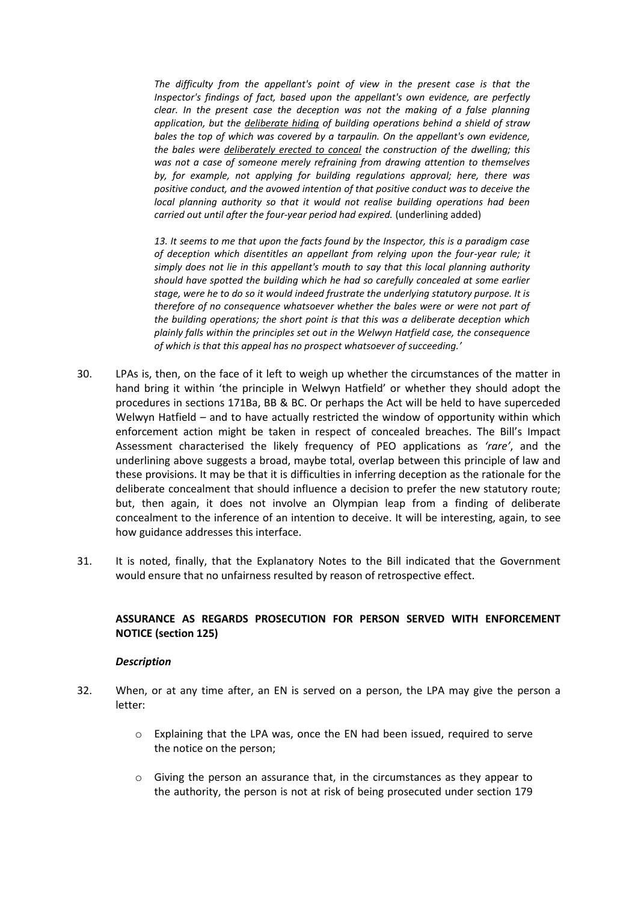*The difficulty from the appellant's point of view in the present case is that the Inspector's findings of fact, based upon the appellant's own evidence, are perfectly clear. In the present case the deception was not the making of a false planning application, but the deliberate hiding of building operations behind a shield of straw bales the top of which was covered by a tarpaulin. On the appellant's own evidence, the bales were deliberately erected to conceal the construction of the dwelling; this was not a case of someone merely refraining from drawing attention to themselves by, for example, not applying for building regulations approval; here, there was positive conduct, and the avowed intention of that positive conduct was to deceive the local planning authority so that it would not realise building operations had been carried out until after the four-year period had expired.* (underlining added)

*13. It seems to me that upon the facts found by the Inspector, this is a paradigm case of deception which disentitles an appellant from relying upon the four-year rule; it simply does not lie in this appellant's mouth to say that this local planning authority should have spotted the building which he had so carefully concealed at some earlier stage, were he to do so it would indeed frustrate the underlying statutory purpose. It is therefore of no consequence whatsoever whether the bales were or were not part of the building operations; the short point is that this was a deliberate deception which plainly falls within the principles set out in the Welwyn Hatfield case, the consequence of which is that this appeal has no prospect whatsoever of succeeding.'*

- 30. LPAs is, then, on the face of it left to weigh up whether the circumstances of the matter in hand bring it within 'the principle in Welwyn Hatfield' or whether they should adopt the procedures in sections 171Ba, BB & BC. Or perhaps the Act will be held to have superceded Welwyn Hatfield – and to have actually restricted the window of opportunity within which enforcement action might be taken in respect of concealed breaches. The Bill's Impact Assessment characterised the likely frequency of PEO applications as *'rare'*, and the underlining above suggests a broad, maybe total, overlap between this principle of law and these provisions. It may be that it is difficulties in inferring deception as the rationale for the deliberate concealment that should influence a decision to prefer the new statutory route; but, then again, it does not involve an Olympian leap from a finding of deliberate concealment to the inference of an intention to deceive. It will be interesting, again, to see how guidance addresses this interface.
- 31. It is noted, finally, that the Explanatory Notes to the Bill indicated that the Government would ensure that no unfairness resulted by reason of retrospective effect.

# **ASSURANCE AS REGARDS PROSECUTION FOR PERSON SERVED WITH ENFORCEMENT NOTICE (section 125)**

#### *Description*

- 32. When, or at any time after, an EN is served on a person, the LPA may give the person a letter:
	- o Explaining that the LPA was, once the EN had been issued, required to serve the notice on the person;
	- o Giving the person an assurance that, in the circumstances as they appear to the authority, the person is not at risk of being prosecuted under section 179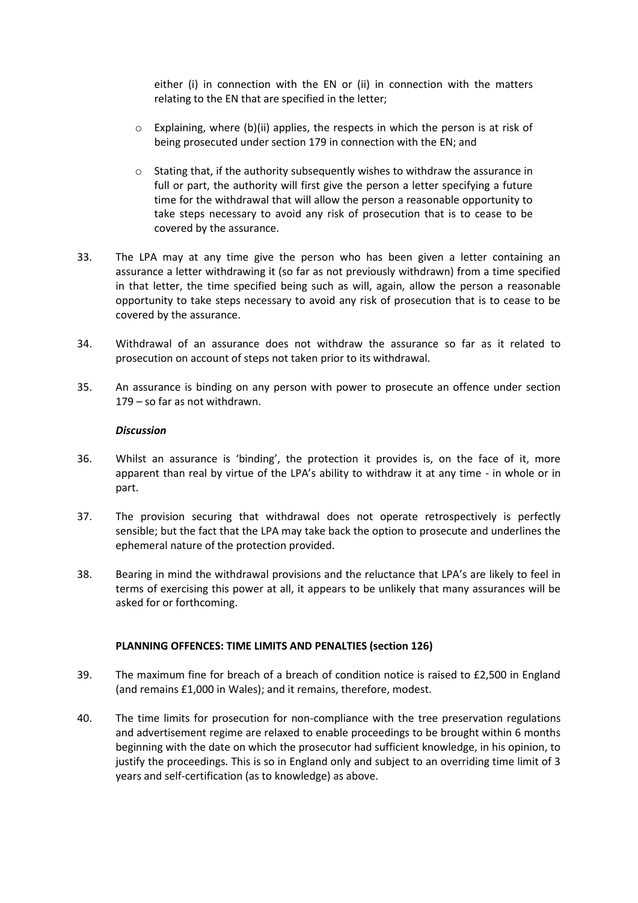either (i) in connection with the EN or (ii) in connection with the matters relating to the EN that are specified in the letter;

- $\circ$  Explaining, where (b)(ii) applies, the respects in which the person is at risk of being prosecuted under section 179 in connection with the EN; and
- $\circ$  Stating that, if the authority subsequently wishes to withdraw the assurance in full or part, the authority will first give the person a letter specifying a future time for the withdrawal that will allow the person a reasonable opportunity to take steps necessary to avoid any risk of prosecution that is to cease to be covered by the assurance.
- 33. The LPA may at any time give the person who has been given a letter containing an assurance a letter withdrawing it (so far as not previously withdrawn) from a time specified in that letter, the time specified being such as will, again, allow the person a reasonable opportunity to take steps necessary to avoid any risk of prosecution that is to cease to be covered by the assurance.
- 34. Withdrawal of an assurance does not withdraw the assurance so far as it related to prosecution on account of steps not taken prior to its withdrawal.
- 35. An assurance is binding on any person with power to prosecute an offence under section 179 – so far as not withdrawn.

#### *Discussion*

- 36. Whilst an assurance is 'binding', the protection it provides is, on the face of it, more apparent than real by virtue of the LPA's ability to withdraw it at any time - in whole or in part.
- 37. The provision securing that withdrawal does not operate retrospectively is perfectly sensible; but the fact that the LPA may take back the option to prosecute and underlines the ephemeral nature of the protection provided.
- 38. Bearing in mind the withdrawal provisions and the reluctance that LPA's are likely to feel in terms of exercising this power at all, it appears to be unlikely that many assurances will be asked for or forthcoming.

## **PLANNING OFFENCES: TIME LIMITS AND PENALTIES (section 126)**

- 39. The maximum fine for breach of a breach of condition notice is raised to £2,500 in England (and remains £1,000 in Wales); and it remains, therefore, modest.
- 40. The time limits for prosecution for non-compliance with the tree preservation regulations and advertisement regime are relaxed to enable proceedings to be brought within 6 months beginning with the date on which the prosecutor had sufficient knowledge, in his opinion, to justify the proceedings. This is so in England only and subject to an overriding time limit of 3 years and self-certification (as to knowledge) as above.